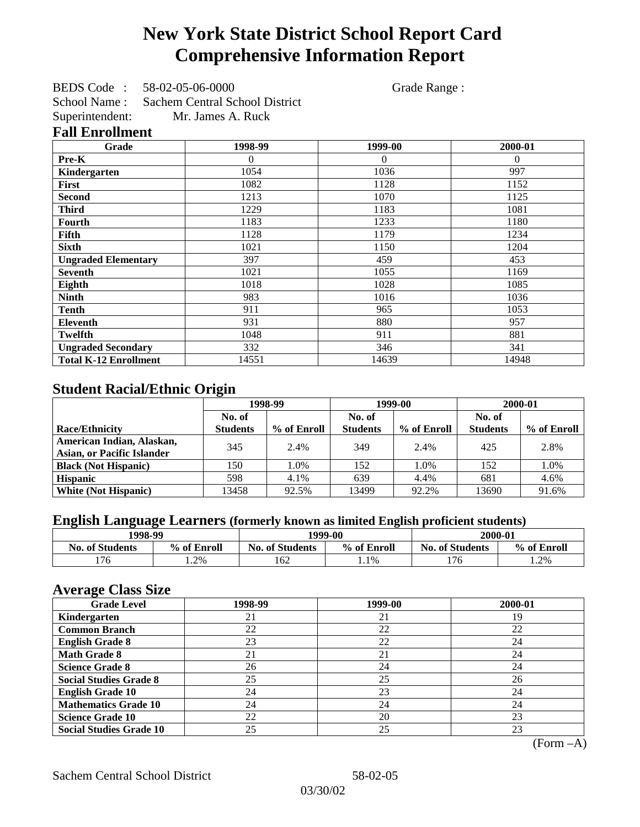## **New York State District School Report Card Comprehensive Information Report**

BEDS Code : 58-02-05-06-0000 Grade Range : School Name : Sachem Central School District Superintendent: Mr. James A. Ruck **Fall Enrollment**

| Grade                        | 1998-99 | 1999-00  | 2000-01  |
|------------------------------|---------|----------|----------|
| Pre-K                        | 0       | $\Omega$ | $\Omega$ |
| Kindergarten                 | 1054    | 1036     | 997      |
| First                        | 1082    | 1128     | 1152     |
| <b>Second</b>                | 1213    | 1070     | 1125     |
| <b>Third</b>                 | 1229    | 1183     | 1081     |
| <b>Fourth</b>                | 1183    | 1233     | 1180     |
| Fifth                        | 1128    | 1179     | 1234     |
| <b>Sixth</b>                 | 1021    | 1150     | 1204     |
| <b>Ungraded Elementary</b>   | 397     | 459      | 453      |
| <b>Seventh</b>               | 1021    | 1055     | 1169     |
| Eighth                       | 1018    | 1028     | 1085     |
| <b>Ninth</b>                 | 983     | 1016     | 1036     |
| <b>Tenth</b>                 | 911     | 965      | 1053     |
| <b>Eleventh</b>              | 931     | 880      | 957      |
| <b>Twelfth</b>               | 1048    | 911      | 881      |
| <b>Ungraded Secondary</b>    | 332     | 346      | 341      |
| <b>Total K-12 Enrollment</b> | 14551   | 14639    | 14948    |

## **Student Racial/Ethnic Origin**

|                                   | 1998-99         |             | 1999-00         |             | 2000-01         |             |
|-----------------------------------|-----------------|-------------|-----------------|-------------|-----------------|-------------|
|                                   | No. of          |             | No. of          |             | No. of          |             |
| <b>Race/Ethnicity</b>             | <b>Students</b> | % of Enroll | <b>Students</b> | % of Enroll | <b>Students</b> | % of Enroll |
| American Indian, Alaskan,         | 345             | 2.4%        | 349             | 2.4%        | 425             | 2.8%        |
| <b>Asian, or Pacific Islander</b> |                 |             |                 |             |                 |             |
| <b>Black (Not Hispanic)</b>       | 150             | 1.0%        | 152             | 1.0%        | 152             | 1.0%        |
| <b>Hispanic</b>                   | 598             | 4.1%        | 639             | 4.4%        | 681             | 4.6%        |
| <b>White (Not Hispanic)</b>       | 13458           | 92.5%       | 13499           | 92.2%       | 13690           | 91.6%       |

## **English Language Learners (formerly known as limited English proficient students)**

|                        | 1998-99<br>1999-00 |                        | 2000-01     |                        |             |
|------------------------|--------------------|------------------------|-------------|------------------------|-------------|
| <b>No. of Students</b> | % of Enroll        | <b>No. of Students</b> | % of Enroll | <b>No. of Students</b> | % of Enroll |
| 176                    | 1.2%               | 62                     | 1.1%        | 176                    | .2%         |

### **Average Class Size**

| <u>ືຕ</u><br><b>Grade Level</b> | 1998-99 | 1999-00 | 2000-01 |
|---------------------------------|---------|---------|---------|
| Kindergarten                    | 21      | 21      | 19      |
| <b>Common Branch</b>            | 22      | 22      | 22      |
| <b>English Grade 8</b>          | 23      | 22      | 24      |
| <b>Math Grade 8</b>             | 21      | 21      | 24      |
| <b>Science Grade 8</b>          | 26      | 24      | 24      |
| <b>Social Studies Grade 8</b>   | 25      | 25      | 26      |
| <b>English Grade 10</b>         | 24      | 23      | 24      |
| <b>Mathematics Grade 10</b>     | 24      | 24      | 24      |
| <b>Science Grade 10</b>         | 22      | 20      | 23      |
| <b>Social Studies Grade 10</b>  | 25      | 25      | 23      |

(Form –A)

Sachem Central School District 58-02-05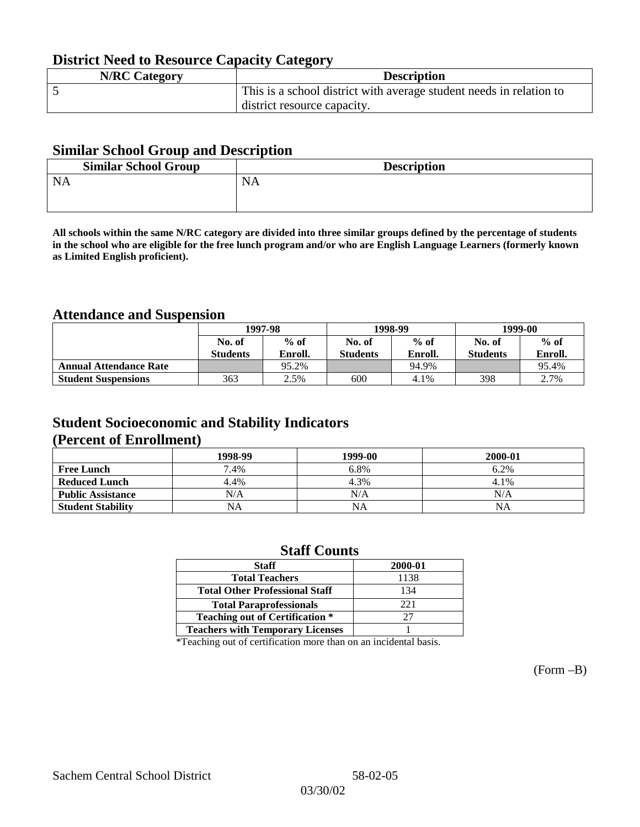## **District Need to Resource Capacity Category**

| <b>N/RC Category</b> | <b>Description</b>                                                  |
|----------------------|---------------------------------------------------------------------|
|                      | This is a school district with average student needs in relation to |
|                      | district resource capacity.                                         |

### **Similar School Group and Description**

| <b>Similar School Group</b> | <b>Description</b> |
|-----------------------------|--------------------|
| <b>NA</b>                   | <b>NA</b>          |
|                             |                    |

**All schools within the same N/RC category are divided into three similar groups defined by the percentage of students in the school who are eligible for the free lunch program and/or who are English Language Learners (formerly known as Limited English proficient).**

## **Attendance and Suspension**

|                               | 1997-98         |         |                 | 1998-99 | 1999-00         |         |
|-------------------------------|-----------------|---------|-----------------|---------|-----------------|---------|
|                               | No. of          | $%$ of  | No. of          | $%$ of  | No. of          | $%$ of  |
|                               | <b>Students</b> | Enroll. | <b>Students</b> | Enroll. | <b>Students</b> | Enroll. |
| <b>Annual Attendance Rate</b> |                 | 95.2%   |                 | 94.9%   |                 | 95.4%   |
| <b>Student Suspensions</b>    | 363             | 2.5%    | 600             | 4.1%    | 398             | 2.7%    |

## **Student Socioeconomic and Stability Indicators (Percent of Enrollment)**

|                          | 1998-99   | 1999-00   | 2000-01 |
|--------------------------|-----------|-----------|---------|
| <b>Free Lunch</b>        | 7.4%      | 6.8%      | 6.2%    |
| <b>Reduced Lunch</b>     | 4.4%      | 4.3%      | 4.1%    |
| <b>Public Assistance</b> | N/A       | N/A       | N/A     |
| <b>Student Stability</b> | <b>NA</b> | <b>NA</b> | ΝA      |

### **Staff Counts**

| 2000-01 |
|---------|
| 1138    |
| 134     |
| 22.1    |
| 27      |
|         |
|         |

\*Teaching out of certification more than on an incidental basis.

(Form –B)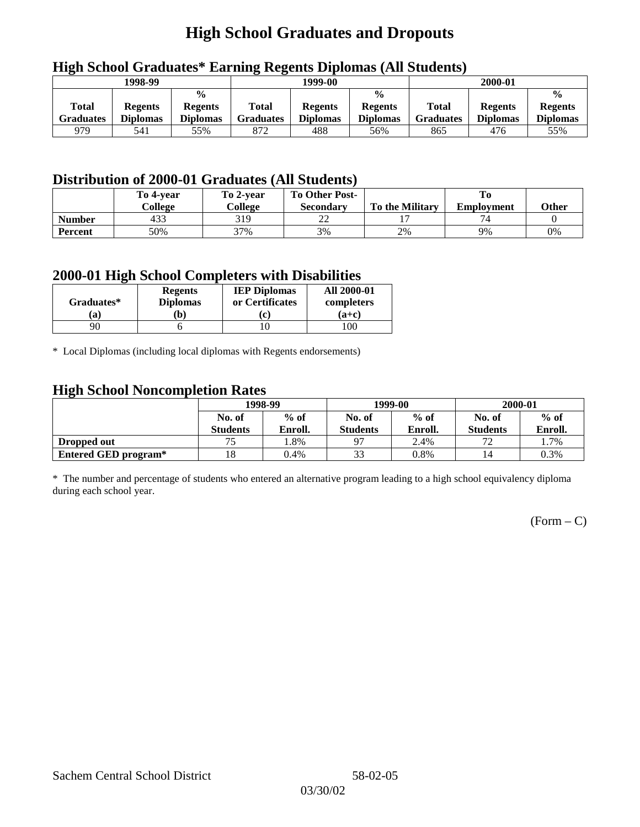## **High School Graduates and Dropouts**

|                           | 1998-99                           |                                                    | 1999-00                   |                                   |                                                    | 2000-01                          |                                   |                                                    |
|---------------------------|-----------------------------------|----------------------------------------------------|---------------------------|-----------------------------------|----------------------------------------------------|----------------------------------|-----------------------------------|----------------------------------------------------|
| <b>Total</b><br>Graduates | <b>Regents</b><br><b>Diplomas</b> | $\frac{0}{0}$<br><b>Regents</b><br><b>Diplomas</b> | Total<br><b>Graduates</b> | <b>Regents</b><br><b>Diplomas</b> | $\frac{6}{6}$<br><b>Regents</b><br><b>Diplomas</b> | <b>Total</b><br><b>Graduates</b> | <b>Regents</b><br><b>Diplomas</b> | $\frac{0}{0}$<br><b>Regents</b><br><b>Diplomas</b> |
| 979                       | 541                               | 55%                                                | 872                       | 488                               | 56%                                                | 865                              | 476                               | 55%                                                |

## **High School Graduates\* Earning Regents Diplomas (All Students)**

## **Distribution of 2000-01 Graduates (All Students)**

|                | To 4-vear<br>College | To 2-year<br>College | <b>To Other Post-</b><br><b>Secondary</b> | <b>To the Military</b> | <b>Employment</b> | Other |
|----------------|----------------------|----------------------|-------------------------------------------|------------------------|-------------------|-------|
| <b>Number</b>  | 433                  | 319                  | າາ<br>∠∠                                  |                        |                   |       |
| <b>Percent</b> | 50%                  | 37%                  | 3%                                        | 2%                     | 9%                | 0%    |

### **2000-01 High School Completers with Disabilities**

| Graduates*   | <b>Regents</b><br><b>Diplomas</b> | <b>IEP Diplomas</b><br>or Certificates | <b>All 2000-01</b><br>completers |  |  |
|--------------|-----------------------------------|----------------------------------------|----------------------------------|--|--|
| 'a           | Ъ)                                | ו יז                                   | $(a+c)$                          |  |  |
| $90^{\circ}$ |                                   |                                        | 100                              |  |  |

\* Local Diplomas (including local diplomas with Regents endorsements)

### **High School Noncompletion Rates**

| $\tilde{\phantom{a}}$ | 1998-99<br>$%$ of<br>No. of |         |                 | 1999-00 | 2000-01         |         |
|-----------------------|-----------------------------|---------|-----------------|---------|-----------------|---------|
|                       |                             |         | No. of          | $%$ of  | No. of          | $%$ of  |
|                       | <b>Students</b>             | Enroll. | <b>Students</b> | Enroll. | <b>Students</b> | Enroll. |
| Dropped out           | 75                          | .8%     | 97              | 2.4%    | 70              | 1.7%    |
| Entered GED program*  | 18                          | 0.4%    | 33              | 0.8%    | 14              | 0.3%    |

\* The number and percentage of students who entered an alternative program leading to a high school equivalency diploma during each school year.

 $(Form - C)$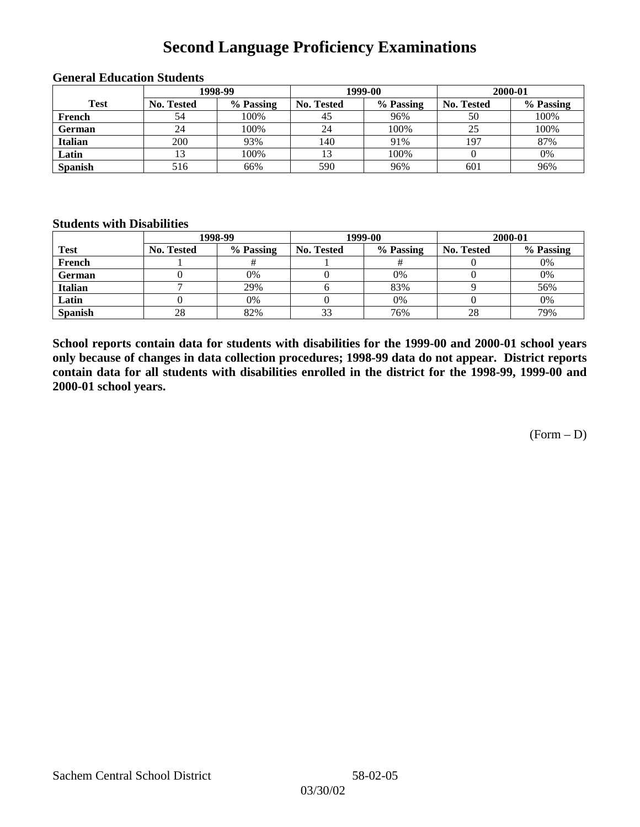## **Second Language Proficiency Examinations**

|                | 1998-99    |           |                   | 1999-00   | 2000-01           |           |  |
|----------------|------------|-----------|-------------------|-----------|-------------------|-----------|--|
| <b>Test</b>    | No. Tested | % Passing | <b>No. Tested</b> | % Passing | <b>No. Tested</b> | % Passing |  |
| French         | 54         | 100%      | 45                | 96%       | 50                | 100%      |  |
| <b>German</b>  | 24         | 100%      | 24                | 100%      | 25                | 100%      |  |
| <b>Italian</b> | 200        | 93%       | 140               | 91%       | 197               | 87%       |  |
| Latin          | 13         | 100%      |                   | 100%      |                   | 0%        |  |
| <b>Spanish</b> | 516        | 66%       | 590               | 96%       | 601               | 96%       |  |

#### **General Education Students**

#### **Students with Disabilities**

|                | 1998-99    |           |                   | 1999-00   | 2000-01           |           |  |
|----------------|------------|-----------|-------------------|-----------|-------------------|-----------|--|
| <b>Test</b>    | No. Tested | % Passing | <b>No. Tested</b> | % Passing | <b>No. Tested</b> | % Passing |  |
| French         |            |           |                   |           |                   | 0%        |  |
| <b>German</b>  |            | 0%        |                   | 0%        |                   | 0%        |  |
| <b>Italian</b> |            | 29%       |                   | 83%       |                   | 56%       |  |
| Latin          |            | 0%        |                   | 0%        |                   | 0%        |  |
| <b>Spanish</b> | 28         | 82%       | 33                | 76%       | 28                | 79%       |  |

**School reports contain data for students with disabilities for the 1999-00 and 2000-01 school years only because of changes in data collection procedures; 1998-99 data do not appear. District reports contain data for all students with disabilities enrolled in the district for the 1998-99, 1999-00 and 2000-01 school years.**

(Form – D)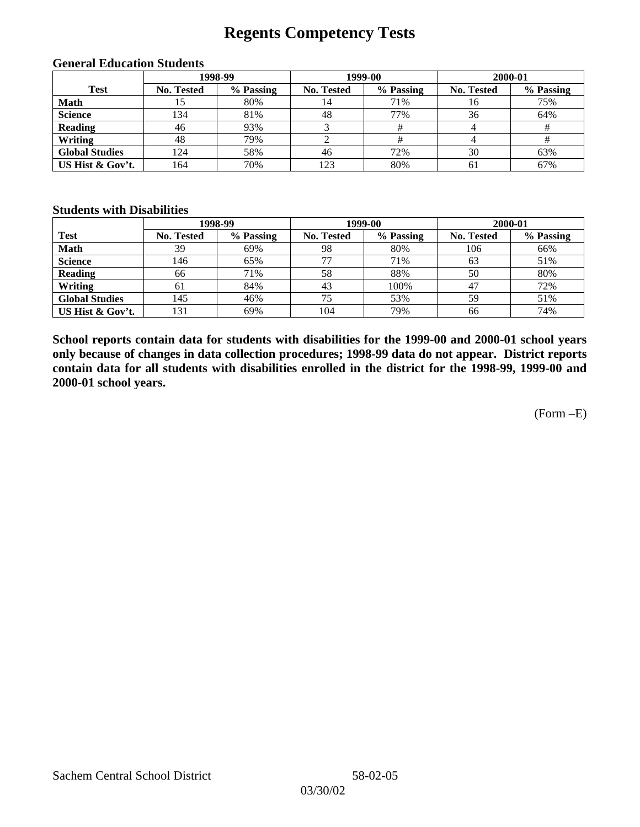## **Regents Competency Tests**

|                       |                   | 1998-99   |                   | 1999-00   | 2000-01           |           |
|-----------------------|-------------------|-----------|-------------------|-----------|-------------------|-----------|
| <b>Test</b>           | <b>No. Tested</b> | % Passing | <b>No. Tested</b> | % Passing | <b>No. Tested</b> | % Passing |
| <b>Math</b>           | LC                | 80%       | 14                | 71%       | 16                | 75%       |
| <b>Science</b>        | 134               | 81%       | 48                | 77%       | 36                | 64%       |
| <b>Reading</b>        | 46                | 93%       |                   |           |                   |           |
| Writing               | 48                | 79%       |                   |           |                   |           |
| <b>Global Studies</b> | 124               | 58%       | 46                | 72%       | 30                | 63%       |
| US Hist & Gov't.      | 164               | 70%       | 123               | 80%       | 61                | 67%       |

#### **General Education Students**

#### **Students with Disabilities**

|                       |            | 1998-99   | 1999-00           |           | 2000-01           |           |
|-----------------------|------------|-----------|-------------------|-----------|-------------------|-----------|
| <b>Test</b>           | No. Tested | % Passing | <b>No. Tested</b> | % Passing | <b>No. Tested</b> | % Passing |
| <b>Math</b>           | 39         | 69%       | 98                | 80%       | 106               | 66%       |
| <b>Science</b>        | 146        | 65%       | 77                | 71%       | 63                | 51%       |
| <b>Reading</b>        | 66         | 71%       | 58                | 88%       | 50                | 80%       |
| Writing               | 61         | 84%       | 43                | 100%      | 47                | 72%       |
| <b>Global Studies</b> | 145        | 46%       | 75                | 53%       | 59                | 51%       |
| US Hist & Gov't.      | 131        | 69%       | 104               | 79%       | 66                | 74%       |

**School reports contain data for students with disabilities for the 1999-00 and 2000-01 school years only because of changes in data collection procedures; 1998-99 data do not appear. District reports contain data for all students with disabilities enrolled in the district for the 1998-99, 1999-00 and 2000-01 school years.**

(Form –E)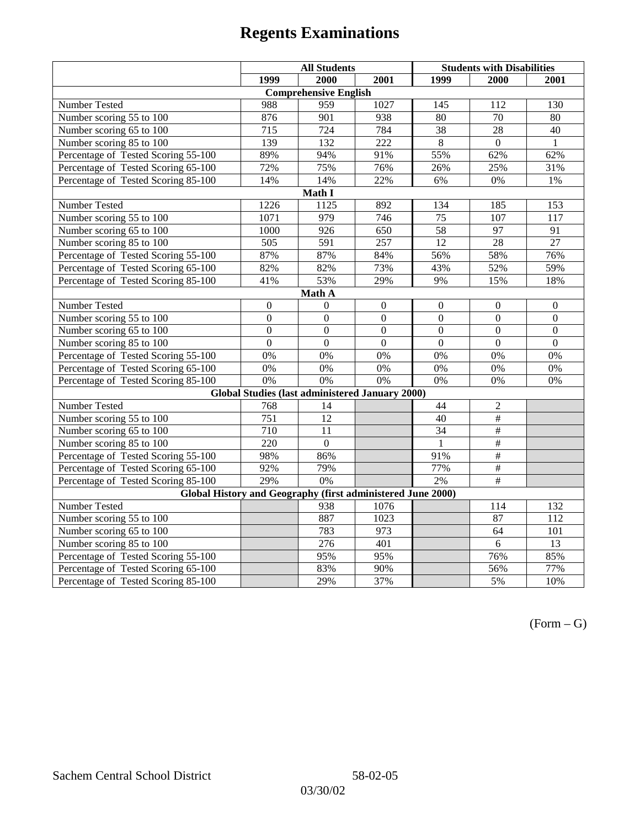|                                                             | <b>All Students</b> |                                                        |                | <b>Students with Disabilities</b> |                          |                  |  |  |
|-------------------------------------------------------------|---------------------|--------------------------------------------------------|----------------|-----------------------------------|--------------------------|------------------|--|--|
|                                                             | 1999                | 2000                                                   | 2001           | 1999                              | 2000                     | 2001             |  |  |
|                                                             |                     | <b>Comprehensive English</b>                           |                |                                   |                          |                  |  |  |
| Number Tested                                               | 988                 | 959                                                    | 1027           | 145                               | 112                      | 130              |  |  |
| Number scoring 55 to 100                                    | 876                 | 901                                                    | 938            | 80                                | 70                       | 80               |  |  |
| Number scoring 65 to 100                                    | 715                 | 724                                                    | 784            | 38                                | 28                       | 40               |  |  |
| Number scoring 85 to 100                                    | 139                 | 132                                                    | 222            | 8                                 | $\theta$                 | $\mathbf{1}$     |  |  |
| Percentage of Tested Scoring 55-100                         | 89%                 | 94%                                                    | 91%            | 55%                               | 62%                      | 62%              |  |  |
| Percentage of Tested Scoring 65-100                         | 72%                 | 75%                                                    | 76%            | 26%                               | 25%                      | 31%              |  |  |
| Percentage of Tested Scoring 85-100                         | 14%                 | 14%                                                    | 22%            | 6%                                | 0%                       | 1%               |  |  |
|                                                             |                     | Math I                                                 |                |                                   |                          |                  |  |  |
| Number Tested<br>1226<br>1125<br>892<br>134<br>185<br>153   |                     |                                                        |                |                                   |                          |                  |  |  |
| Number scoring 55 to 100                                    | 1071                | 979                                                    | 746            | 75                                | 107                      | 117              |  |  |
| Number scoring 65 to 100                                    | 1000                | 926                                                    | 650            | 58                                | 97                       | 91               |  |  |
| Number scoring 85 to 100                                    | $\overline{505}$    | 591                                                    | 257            | 12                                | $\overline{28}$          | 27               |  |  |
| Percentage of Tested Scoring 55-100                         | 87%                 | 87%                                                    | 84%            | 56%                               | 58%                      | 76%              |  |  |
| Percentage of Tested Scoring 65-100                         | 82%                 | 82%                                                    | 73%            | 43%                               | 52%                      | 59%              |  |  |
| Percentage of Tested Scoring 85-100                         | 41%                 | 53%                                                    | 29%            | 9%                                | 15%                      | 18%              |  |  |
| Math A                                                      |                     |                                                        |                |                                   |                          |                  |  |  |
| Number Tested                                               | $\boldsymbol{0}$    | $\mathbf{0}$                                           | $\mathbf{0}$   | $\overline{0}$                    | $\mathbf{0}$             | $\boldsymbol{0}$ |  |  |
| Number scoring 55 to 100                                    | $\overline{0}$      | $\overline{0}$                                         | $\overline{0}$ | $\overline{0}$                    | $\overline{0}$           | $\overline{0}$   |  |  |
| Number scoring 65 to 100                                    | $\mathbf{0}$        | $\mathbf{0}$                                           | $\overline{0}$ | $\boldsymbol{0}$                  | $\boldsymbol{0}$         | $\boldsymbol{0}$ |  |  |
| Number scoring 85 to 100                                    | $\overline{0}$      | $\overline{0}$                                         | $\overline{0}$ | $\mathbf{0}$                      | $\mathbf{0}$             | $\boldsymbol{0}$ |  |  |
| Percentage of Tested Scoring 55-100                         | 0%                  | 0%                                                     | 0%             | 0%                                | 0%                       | 0%               |  |  |
| Percentage of Tested Scoring 65-100                         | 0%                  | 0%                                                     | 0%             | 0%                                | 0%                       | 0%               |  |  |
| Percentage of Tested Scoring 85-100                         | 0%                  | 0%                                                     | 0%             | 0%                                | 0%                       | $0\%$            |  |  |
|                                                             |                     | <b>Global Studies (last administered January 2000)</b> |                |                                   |                          |                  |  |  |
| <b>Number Tested</b>                                        | 768                 | 14                                                     |                | 44                                | $\overline{2}$           |                  |  |  |
| Number scoring 55 to 100                                    | 751                 | $\overline{12}$                                        |                | 40                                | $\overline{\overline{}}$ |                  |  |  |
| Number scoring 65 to 100                                    | 710                 | 11                                                     |                | 34                                | $\#$                     |                  |  |  |
| Number scoring 85 to 100                                    | $\overline{220}$    | $\boldsymbol{0}$                                       |                | 1                                 | #                        |                  |  |  |
| Percentage of Tested Scoring 55-100                         | 98%                 | 86%                                                    |                | 91%                               | $\overline{\#}$          |                  |  |  |
| Percentage of Tested Scoring 65-100                         | 92%                 | 79%                                                    |                | 77%                               | #                        |                  |  |  |
| Percentage of Tested Scoring 85-100                         | 29%                 | 0%                                                     |                | 2%                                | #                        |                  |  |  |
| Global History and Geography (first administered June 2000) |                     |                                                        |                |                                   |                          |                  |  |  |
| Number Tested                                               |                     | 938                                                    | 1076           |                                   | 114                      | 132              |  |  |
| Number scoring 55 to 100                                    |                     | 887                                                    | 1023           |                                   | 87                       | $\overline{112}$ |  |  |
| Number scoring 65 to 100                                    |                     | 783                                                    | 973            |                                   | 64                       | 101              |  |  |
| Number scoring 85 to 100                                    |                     | 276                                                    | 401            |                                   | 6                        | 13               |  |  |
| Percentage of Tested Scoring 55-100                         |                     | 95%                                                    | 95%            |                                   | 76%                      | 85%              |  |  |
| Percentage of Tested Scoring 65-100                         |                     | 83%                                                    | 90%            |                                   | 56%                      | 77%              |  |  |
| Percentage of Tested Scoring 85-100                         |                     | 29%                                                    | 37%            |                                   | 5%                       | 10%              |  |  |

 $(Form - G)$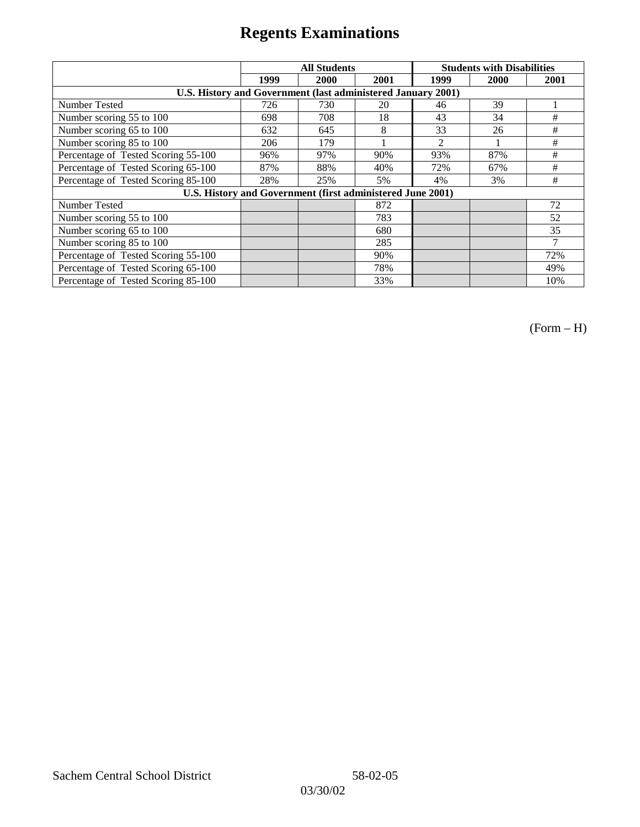|                                                              | <b>All Students</b> |                                                            |      | <b>Students with Disabilities</b> |      |      |
|--------------------------------------------------------------|---------------------|------------------------------------------------------------|------|-----------------------------------|------|------|
|                                                              | 1999                | 2000                                                       | 2001 | 1999                              | 2000 | 2001 |
| U.S. History and Government (last administered January 2001) |                     |                                                            |      |                                   |      |      |
| Number Tested                                                | 726                 | 730                                                        | 20   | 46                                | 39   |      |
| Number scoring 55 to 100                                     | 698                 | 708                                                        | 18   | 43                                | 34   | #    |
| Number scoring 65 to 100                                     | 632                 | 645                                                        | 8    | 33                                | 26   | #    |
| Number scoring 85 to 100                                     | 206                 | 179                                                        |      | $\mathfrak{D}$                    |      | #    |
| Percentage of Tested Scoring 55-100                          | 96%                 | 97%                                                        | 90%  | 93%                               | 87%  | #    |
| Percentage of Tested Scoring 65-100                          | 87%                 | 88%                                                        | 40%  | 72%                               | 67%  | #    |
| Percentage of Tested Scoring 85-100                          | 28%                 | 25%                                                        | 5%   | 4%                                | 3%   | #    |
|                                                              |                     | U.S. History and Government (first administered June 2001) |      |                                   |      |      |
| <b>Number Tested</b>                                         |                     |                                                            | 872  |                                   |      | 72   |
| Number scoring 55 to 100                                     |                     |                                                            | 783  |                                   |      | 52   |
| Number scoring 65 to 100                                     |                     |                                                            | 680  |                                   |      | 35   |
| Number scoring 85 to 100                                     |                     |                                                            | 285  |                                   |      | 7    |
| Percentage of Tested Scoring 55-100                          |                     |                                                            | 90%  |                                   |      | 72%  |
| Percentage of Tested Scoring 65-100                          |                     |                                                            | 78%  |                                   |      | 49%  |
| Percentage of Tested Scoring 85-100                          |                     |                                                            | 33%  |                                   |      | 10%  |

(Form – H)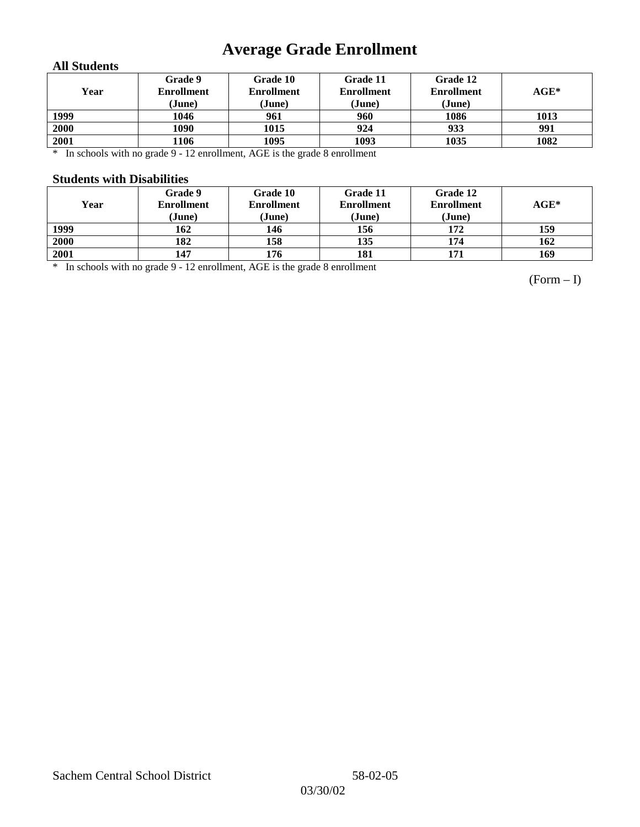## **Average Grade Enrollment**

### **All Students**

| Year | <b>Grade 9</b><br><b>Enrollment</b><br>(June) | Grade 10<br><b>Enrollment</b><br>(June) | Grade 11<br><b>Enrollment</b><br>(June) | <b>Grade 12</b><br><b>Enrollment</b><br>(June) | $\mathbf{AGE}^*$ |
|------|-----------------------------------------------|-----------------------------------------|-----------------------------------------|------------------------------------------------|------------------|
| 1999 | 1046                                          | 961                                     | 960                                     | 1086                                           | 1013             |
| 2000 | 1090                                          | 1015                                    | 924                                     | 933                                            | 991              |
| 2001 | 1106                                          | 1095                                    | 1093                                    | 1035                                           | 1082             |

\* In schools with no grade 9 - 12 enrollment, AGE is the grade 8 enrollment

#### **Students with Disabilities**

| Year | <b>Grade 9</b><br><b>Enrollment</b><br>(June) | Grade 10<br><b>Enrollment</b><br>(June) | Grade 11<br><b>Enrollment</b><br>(June) | Grade 12<br><b>Enrollment</b><br>(June) | $AGE^*$ |
|------|-----------------------------------------------|-----------------------------------------|-----------------------------------------|-----------------------------------------|---------|
| 1999 | 162                                           | 146                                     | 156                                     | 172                                     | 159     |
| 2000 | 182                                           | 158                                     | 135                                     | 174                                     | 162     |
| 2001 | 147                                           | 176                                     | 181                                     | 171                                     | 169     |

\* In schools with no grade 9 - 12 enrollment, AGE is the grade 8 enrollment

(Form – I)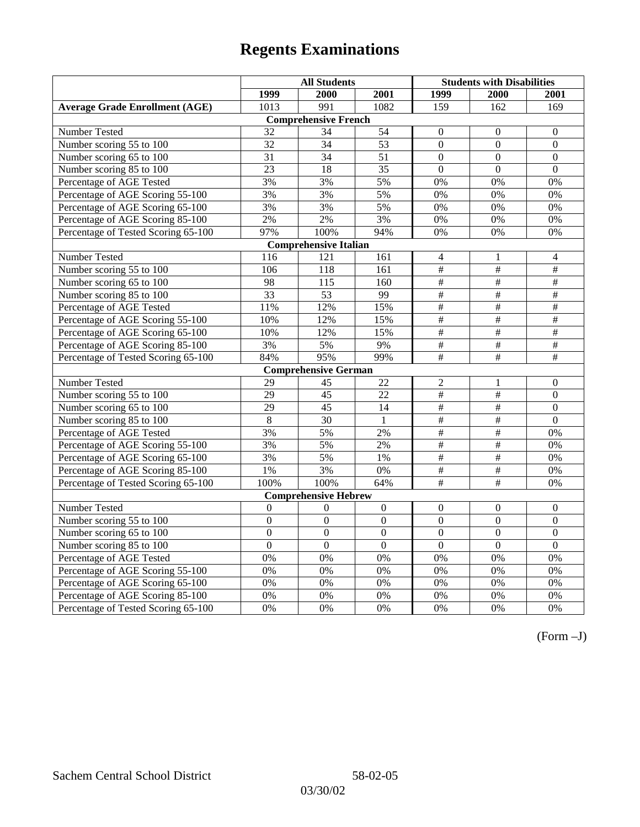|                                       | <b>All Students</b>          |                             |                | <b>Students with Disabilities</b> |                           |                          |  |  |  |
|---------------------------------------|------------------------------|-----------------------------|----------------|-----------------------------------|---------------------------|--------------------------|--|--|--|
|                                       | 1999                         | 2000                        | 2001           | 1999                              | 2000                      | 2001                     |  |  |  |
| <b>Average Grade Enrollment (AGE)</b> | 1013                         | 991                         | 1082           | 159                               | 162                       | 169                      |  |  |  |
|                                       |                              | <b>Comprehensive French</b> |                |                                   |                           |                          |  |  |  |
| Number Tested                         | 32                           | 34                          | 54             | $\overline{0}$                    | $\mathbf{0}$              | $\mathbf{0}$             |  |  |  |
| Number scoring 55 to 100              | 32                           | 34                          | 53             | $\overline{0}$                    | $\mathbf{0}$              | $\mathbf{0}$             |  |  |  |
| Number scoring 65 to 100              | 31                           | 34                          | 51             | $\overline{0}$                    | $\mathbf{0}$              | $\mathbf{0}$             |  |  |  |
| Number scoring 85 to 100              | 23                           | 18                          | 35             | $\overline{0}$                    | $\mathbf{0}$              | $\mathbf{0}$             |  |  |  |
| Percentage of AGE Tested              | 3%                           | 3%                          | 5%             | $0\%$                             | 0%                        | 0%                       |  |  |  |
| Percentage of AGE Scoring 55-100      | 3%                           | 3%                          | 5%             | 0%                                | 0%                        | 0%                       |  |  |  |
| Percentage of AGE Scoring 65-100      | 3%                           | 3%                          | 5%             | 0%                                | 0%                        | 0%                       |  |  |  |
| Percentage of AGE Scoring 85-100      | 2%                           | 2%                          | 3%             | $0\%$                             | $0\%$                     | $0\%$                    |  |  |  |
| Percentage of Tested Scoring 65-100   | 97%                          | 100%                        | 94%            | 0%                                | 0%                        | 0%                       |  |  |  |
|                                       | <b>Comprehensive Italian</b> |                             |                |                                   |                           |                          |  |  |  |
| Number Tested                         | 116                          | 121                         | 161            | $\overline{4}$                    | 1                         | $\overline{4}$           |  |  |  |
| Number scoring 55 to 100              | 106                          | 118                         | 161            | $\frac{1}{2}$                     | $\overline{\#}$           | #                        |  |  |  |
| Number scoring 65 to 100              | 98                           | $\frac{115}{115}$           | 160            | $\overline{\#}$                   | #                         | #                        |  |  |  |
| Number scoring 85 to 100              | 33                           | 53                          | 99             | $\#$                              | $\#$                      | $\#$                     |  |  |  |
| Percentage of AGE Tested              | 11%                          | 12%                         | 15%            | $\#$                              | $\#$                      | $\#$                     |  |  |  |
| Percentage of AGE Scoring 55-100      | 10%                          | 12%                         | 15%            | #                                 | #                         | #                        |  |  |  |
| Percentage of AGE Scoring 65-100      | 10%                          | 12%                         | 15%            | $\overline{\#}$                   | #                         | #                        |  |  |  |
| Percentage of AGE Scoring 85-100      | 3%                           | 5%                          | 9%             | $\frac{1}{2}$                     | $\overline{\#}$           | $\overline{\overline{}}$ |  |  |  |
| Percentage of Tested Scoring 65-100   | 84%                          | 95%                         | 99%            | $\overline{+}$                    | $\overline{+}$            | $\overline{+}$           |  |  |  |
|                                       |                              | <b>Comprehensive German</b> |                |                                   |                           |                          |  |  |  |
| Number Tested                         | 29                           | 45                          | 22             | $\overline{2}$                    | $\mathbf{1}$              | $\boldsymbol{0}$         |  |  |  |
| Number scoring 55 to 100              | 29                           | $\overline{45}$             | 22             | $\overline{\overline{H}}$         | $\overline{\overline{t}}$ | $\mathbf{0}$             |  |  |  |
| Number scoring 65 to 100              | 29                           | 45                          | 14             | $\overline{\#}$                   | #                         | $\boldsymbol{0}$         |  |  |  |
| Number scoring 85 to 100              | $\overline{8}$               | 30                          | 1              | #                                 | $\overline{\ddot{\pi}}$   | $\overline{0}$           |  |  |  |
| Percentage of AGE Tested              | 3%                           | 5%                          | 2%             | #                                 | $\overline{\overline{t}}$ | 0%                       |  |  |  |
| Percentage of AGE Scoring 55-100      | 3%                           | 5%                          | $2\%$          | $\overline{\#}$                   | #                         | 0%                       |  |  |  |
| Percentage of AGE Scoring 65-100      | 3%                           | 5%                          | 1%             | $\overline{\overline{H}}$         | $\overline{\#}$           | 0%                       |  |  |  |
| Percentage of AGE Scoring 85-100      | 1%                           | 3%                          | 0%             | $\frac{1}{2}$                     | $\overline{+}$            | 0%                       |  |  |  |
| Percentage of Tested Scoring 65-100   | 100%                         | 100%                        | 64%            | $\#$                              | $\#$                      | 0%                       |  |  |  |
|                                       |                              | <b>Comprehensive Hebrew</b> |                |                                   |                           |                          |  |  |  |
| <b>Number Tested</b>                  | $\mathbf{0}$                 | $\mathbf{0}$                | $\overline{0}$ | $\overline{0}$                    | $\mathbf{0}$              | $\mathbf{0}$             |  |  |  |
| Number scoring 55 to 100              | $\boldsymbol{0}$             | $\boldsymbol{0}$            | $\overline{0}$ | $\mathbf{0}$                      | $\mathbf{0}$              | $\boldsymbol{0}$         |  |  |  |
| Number scoring 65 to 100              | $\boldsymbol{0}$             | $\mathbf{0}$                | $\overline{0}$ | $\overline{0}$                    | $\mathbf{0}$              | $\mathbf{0}$             |  |  |  |
| Number scoring 85 to 100              | $\mathbf{0}$                 | $\mathbf{0}$                | $\mathbf{0}$   | $\mathbf{0}$                      | $\mathbf{0}$              | $\mathbf{0}$             |  |  |  |
| Percentage of AGE Tested              | 0%                           | 0%                          | 0%             | 0%                                | 0%                        | 0%                       |  |  |  |
| Percentage of AGE Scoring 55-100      | 0%                           | 0%                          | 0%             | 0%                                | 0%                        | 0%                       |  |  |  |
| Percentage of AGE Scoring 65-100      | 0%                           | 0%                          | 0%             | 0%                                | 0%                        | 0%                       |  |  |  |
| Percentage of AGE Scoring 85-100      | 0%                           | 0%                          | 0%             | $0\%$                             | 0%                        | $0\%$                    |  |  |  |
| Percentage of Tested Scoring 65-100   | 0%                           | 0%                          | 0%             | 0%                                | 0%                        | 0%                       |  |  |  |

(Form –J)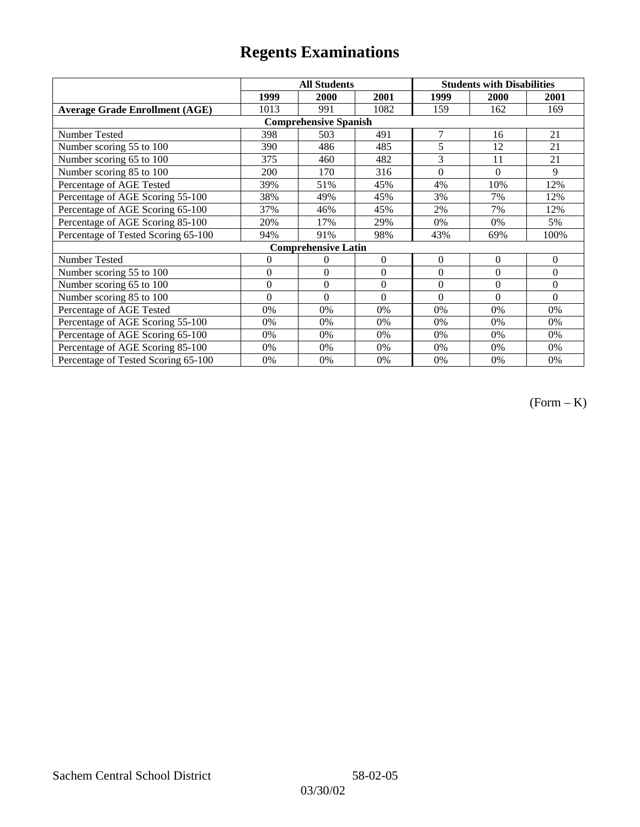|                                       |                | <b>All Students</b>        |          | <b>Students with Disabilities</b> |             |                |  |  |
|---------------------------------------|----------------|----------------------------|----------|-----------------------------------|-------------|----------------|--|--|
|                                       | 1999           | 2000                       | 2001     | 1999                              | <b>2000</b> | 2001           |  |  |
| <b>Average Grade Enrollment (AGE)</b> | 1013           | 991                        | 1082     | 159                               | 162         | 169            |  |  |
| <b>Comprehensive Spanish</b>          |                |                            |          |                                   |             |                |  |  |
| <b>Number Tested</b>                  | 398            | 503                        | 491      | $\overline{7}$                    | 16          | 21             |  |  |
| Number scoring 55 to 100              | 390            | 486                        | 485      | 5                                 | 12          | 21             |  |  |
| Number scoring 65 to 100              | 375            | 460                        | 482      | 3                                 | 11          | 21             |  |  |
| Number scoring 85 to 100              | 200            | 170                        | 316      | $\theta$                          | $\theta$    | $\mathbf{Q}$   |  |  |
| Percentage of AGE Tested              | 39%            | 51%                        | 45%      | 4%                                | 10%         | 12%            |  |  |
| Percentage of AGE Scoring 55-100      | 38%            | 49%                        | 45%      | 3%                                | 7%          | 12%            |  |  |
| Percentage of AGE Scoring 65-100      | 37%            | 46%                        | 45%      | 2%                                | 7%          | 12%            |  |  |
| Percentage of AGE Scoring 85-100      | 20%            | 17%                        | 29%      | 0%                                | 0%          | 5%             |  |  |
| Percentage of Tested Scoring 65-100   | 94%            | 91%                        | 98%      | 43%                               | 69%         | 100%           |  |  |
|                                       |                | <b>Comprehensive Latin</b> |          |                                   |             |                |  |  |
| Number Tested                         | $\overline{0}$ | $\theta$                   | $\Omega$ | $\theta$                          | $\theta$    | $\overline{0}$ |  |  |
| Number scoring 55 to 100              | $\mathbf{0}$   | $\mathbf{0}$               | $\theta$ | $\boldsymbol{0}$                  | $\Omega$    | $\mathbf{0}$   |  |  |
| Number scoring 65 to 100              | $\mathbf{0}$   | $\mathbf{0}$               | $\Omega$ | $\theta$                          | $\theta$    | $\Omega$       |  |  |
| Number scoring 85 to 100              | $\theta$       | $\theta$                   | $\Omega$ | $\Omega$                          | $\Omega$    | $\Omega$       |  |  |
| Percentage of AGE Tested              | 0%             | 0%                         | 0%       | 0%                                | 0%          | 0%             |  |  |
| Percentage of AGE Scoring 55-100      | 0%             | 0%                         | 0%       | 0%                                | 0%          | 0%             |  |  |
| Percentage of AGE Scoring 65-100      | 0%             | 0%                         | 0%       | 0%                                | 0%          | 0%             |  |  |
| Percentage of AGE Scoring 85-100      | 0%             | 0%                         | 0%       | $0\%$                             | $0\%$       | $0\%$          |  |  |
| Percentage of Tested Scoring 65-100   | 0%             | 0%                         | 0%       | 0%                                | 0%          | $0\%$          |  |  |

(Form – K)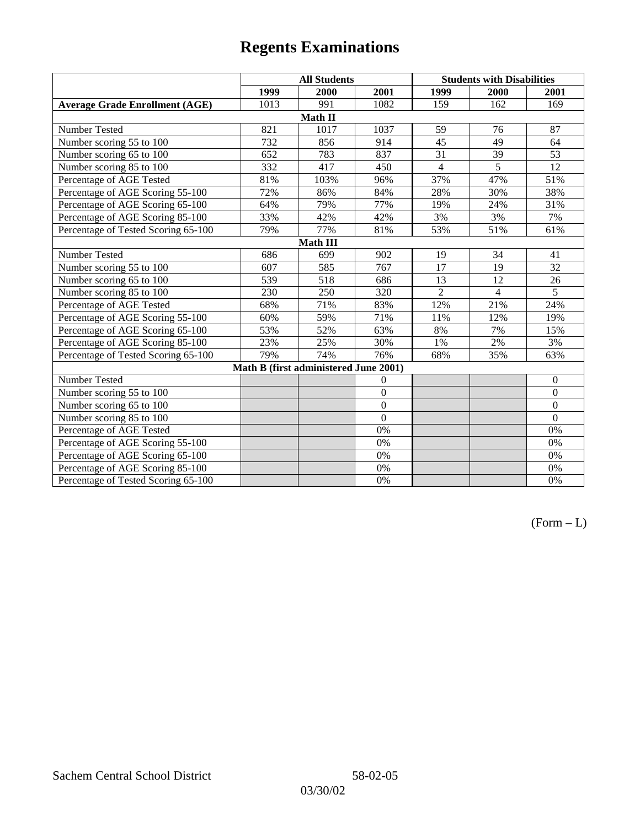|                                       | <b>All Students</b> |                                       |                | <b>Students with Disabilities</b> |                |                |  |  |
|---------------------------------------|---------------------|---------------------------------------|----------------|-----------------------------------|----------------|----------------|--|--|
|                                       | 1999                | 2000                                  | 2001           | 1999                              | 2000           | 2001           |  |  |
| <b>Average Grade Enrollment (AGE)</b> | 1013                | 991                                   | 1082           | 159                               | 162            | 169            |  |  |
|                                       |                     | Math II                               |                |                                   |                |                |  |  |
| Number Tested                         | 821                 | 1017                                  | 1037           | 59                                | 76             | 87             |  |  |
| Number scoring 55 to 100              | 732                 | 856                                   | 914            | $\overline{45}$                   | 49             | 64             |  |  |
| Number scoring 65 to 100              | 652                 | 783                                   | 837            | 31                                | 39             | 53             |  |  |
| Number scoring 85 to 100              | 332                 | 417                                   | 450            | $\overline{4}$                    | $\overline{5}$ | 12             |  |  |
| Percentage of AGE Tested              | 81%                 | 103%                                  | 96%            | 37%                               | 47%            | 51%            |  |  |
| Percentage of AGE Scoring 55-100      | 72%                 | 86%                                   | 84%            | 28%                               | 30%            | 38%            |  |  |
| Percentage of AGE Scoring 65-100      | 64%                 | 79%                                   | 77%            | 19%                               | 24%            | 31%            |  |  |
| Percentage of AGE Scoring 85-100      | 33%                 | 42%                                   | 42%            | 3%                                | 3%             | 7%             |  |  |
| Percentage of Tested Scoring 65-100   | 79%                 | 77%                                   | 81%            | 53%                               | 51%            | 61%            |  |  |
| <b>Math III</b>                       |                     |                                       |                |                                   |                |                |  |  |
| Number Tested                         | 686                 | 699                                   | 902            | 19                                | 34             | 41             |  |  |
| Number scoring 55 to 100              | 607                 | 585                                   | 767            | 17                                | 19             | 32             |  |  |
| Number scoring 65 to 100              | 539                 | 518                                   | 686            | 13                                | 12             | 26             |  |  |
| Number scoring 85 to 100              | 230                 | 250                                   | 320            | $\overline{2}$                    | $\overline{4}$ | $\overline{5}$ |  |  |
| Percentage of AGE Tested              | 68%                 | 71%                                   | 83%            | 12%                               | 21%            | 24%            |  |  |
| Percentage of AGE Scoring 55-100      | 60%                 | 59%                                   | 71%            | 11%                               | 12%            | 19%            |  |  |
| Percentage of AGE Scoring 65-100      | 53%                 | 52%                                   | 63%            | 8%                                | 7%             | 15%            |  |  |
| Percentage of AGE Scoring 85-100      | 23%                 | 25%                                   | 30%            | 1%                                | 2%             | 3%             |  |  |
| Percentage of Tested Scoring 65-100   | 79%                 | 74%                                   | 76%            | 68%                               | 35%            | 63%            |  |  |
|                                       |                     | Math B (first administered June 2001) |                |                                   |                |                |  |  |
| Number Tested                         |                     |                                       | $\overline{0}$ |                                   |                | $\mathbf{0}$   |  |  |
| Number scoring 55 to 100              |                     |                                       | $\overline{0}$ |                                   |                | $\mathbf{0}$   |  |  |
| Number scoring 65 to 100              |                     |                                       | $\overline{0}$ |                                   |                | $\mathbf{0}$   |  |  |
| Number scoring 85 to 100              |                     |                                       | $\theta$       |                                   |                | $\mathbf{0}$   |  |  |
| Percentage of AGE Tested              |                     |                                       | 0%             |                                   |                | 0%             |  |  |
| Percentage of AGE Scoring 55-100      |                     |                                       | 0%             |                                   |                | 0%             |  |  |
| Percentage of AGE Scoring 65-100      |                     |                                       | 0%             |                                   |                | 0%             |  |  |
| Percentage of AGE Scoring 85-100      |                     |                                       | 0%             |                                   |                | 0%             |  |  |
| Percentage of Tested Scoring 65-100   |                     |                                       | 0%             |                                   |                | 0%             |  |  |

 $(Form - L)$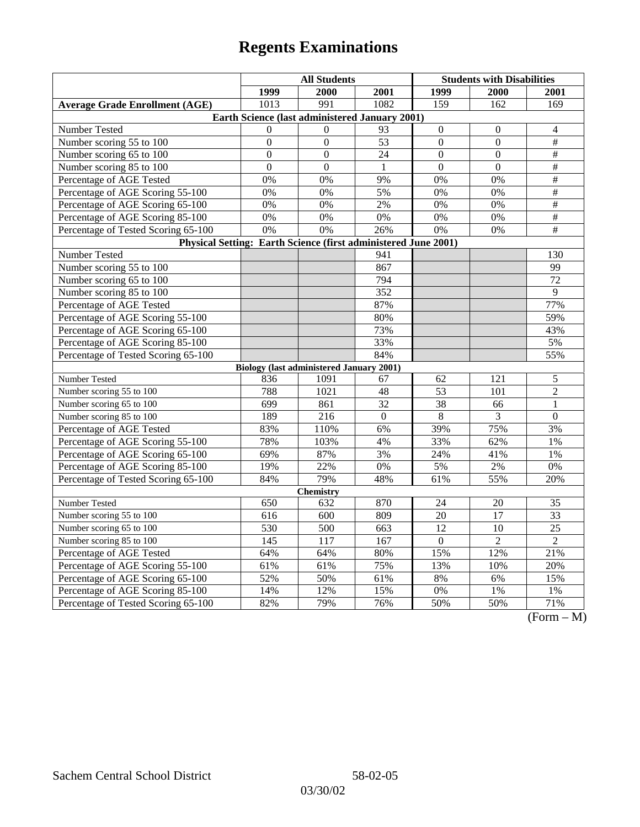|                                                                | <b>All Students</b>                             |                |          | <b>Students with Disabilities</b> |                  |                                                 |  |  |
|----------------------------------------------------------------|-------------------------------------------------|----------------|----------|-----------------------------------|------------------|-------------------------------------------------|--|--|
|                                                                | 1999                                            | 2000           | 2001     | 1999                              | <b>2000</b>      | <b>2001</b>                                     |  |  |
| <b>Average Grade Enrollment (AGE)</b>                          | 1013                                            | 991            | 1082     | 159                               | 162              | 169                                             |  |  |
| Earth Science (last administered January 2001)                 |                                                 |                |          |                                   |                  |                                                 |  |  |
| Number Tested                                                  | $\Omega$                                        | $\Omega$       | 93       | $\boldsymbol{0}$                  | $\boldsymbol{0}$ | 4                                               |  |  |
| Number scoring 55 to 100                                       | $\boldsymbol{0}$                                | $\mathbf{0}$   | 53       | $\overline{0}$                    | $\overline{0}$   | $\#$                                            |  |  |
| Number scoring 65 to 100                                       | $\Omega$                                        | $\theta$       | 24       | $\Omega$                          | $\theta$         | $\#$                                            |  |  |
| Number scoring 85 to 100                                       | $\mathbf{0}$                                    | $\overline{0}$ | 1        | $\mathbf{0}$                      | $\mathbf{0}$     | $\#$                                            |  |  |
| Percentage of AGE Tested                                       | 0%                                              | 0%             | 9%       | 0%                                | 0%               | $\#$                                            |  |  |
| Percentage of AGE Scoring 55-100                               | 0%                                              | 0%             | 5%       | 0%                                | 0%               | $\#$                                            |  |  |
| Percentage of AGE Scoring 65-100                               | 0%                                              | 0%             | 2%       | 0%                                | 0%               | $\#$                                            |  |  |
| Percentage of AGE Scoring 85-100                               | 0%                                              | 0%             | 0%       | 0%                                | 0%               | $\overline{\#}$                                 |  |  |
| Percentage of Tested Scoring 65-100                            | $\overline{0\%}$                                | 0%             | 26%      | $\overline{0\%}$                  | 0%               | $\overline{+}$                                  |  |  |
| Physical Setting: Earth Science (first administered June 2001) |                                                 |                |          |                                   |                  |                                                 |  |  |
| Number Tested                                                  |                                                 |                | 941      |                                   |                  | 130                                             |  |  |
| Number scoring 55 to 100                                       |                                                 |                | 867      |                                   |                  | 99                                              |  |  |
| Number scoring 65 to 100                                       |                                                 |                | 794      |                                   |                  | 72                                              |  |  |
| Number scoring 85 to 100                                       |                                                 |                | 352      |                                   |                  | 9                                               |  |  |
| Percentage of AGE Tested                                       |                                                 |                | 87%      |                                   |                  | 77%                                             |  |  |
| Percentage of AGE Scoring 55-100                               |                                                 |                | 80%      |                                   |                  | 59%                                             |  |  |
| Percentage of AGE Scoring 65-100                               |                                                 |                | 73%      |                                   |                  | 43%                                             |  |  |
| Percentage of AGE Scoring 85-100                               |                                                 |                | 33%      |                                   |                  | 5%                                              |  |  |
| Percentage of Tested Scoring 65-100                            |                                                 |                | 84%      |                                   |                  | 55%                                             |  |  |
|                                                                | <b>Biology (last administered January 2001)</b> |                |          |                                   |                  |                                                 |  |  |
| Number Tested                                                  | 836                                             | 1091           | 67       | 62                                | 121              | 5                                               |  |  |
| Number scoring 55 to 100                                       | 788                                             | 1021           | 48       | 53                                | 101              | $\overline{2}$                                  |  |  |
| Number scoring 65 to 100                                       | 699                                             | 861            | 32       | 38                                | 66               | $\mathbf{1}$                                    |  |  |
| Number scoring 85 to 100                                       | 189                                             | 216            | $\theta$ | $\,8\,$                           | 3                | $\theta$                                        |  |  |
| Percentage of AGE Tested                                       | 83%                                             | 110%           | 6%       | 39%                               | 75%              | 3%                                              |  |  |
| Percentage of AGE Scoring 55-100                               | 78%                                             | 103%           | 4%       | 33%                               | 62%              | 1%                                              |  |  |
| Percentage of AGE Scoring 65-100                               | 69%                                             | 87%            | 3%       | 24%                               | 41%              | 1%                                              |  |  |
| Percentage of AGE Scoring 85-100                               | 19%                                             | 22%            | $0\%$    | 5%                                | $2\%$            | 0%                                              |  |  |
| Percentage of Tested Scoring 65-100                            | 84%                                             | 79%            | 48%      | 61%                               | 55%              | 20%                                             |  |  |
| <b>Chemistry</b>                                               |                                                 |                |          |                                   |                  |                                                 |  |  |
| Number Tested                                                  | 650                                             | 632            | 870      | 24                                | 20               | 35                                              |  |  |
| Number scoring 55 to 100                                       | 616                                             | 600            | 809      | 20                                | 17               | 33                                              |  |  |
| Number scoring 65 to 100                                       | 530                                             | 500            | 663      | $\overline{12}$                   | $\overline{10}$  | $\overline{25}$                                 |  |  |
| Number scoring 85 to 100                                       | 145                                             | 117            | 167      | $\overline{0}$                    | $\overline{2}$   | $\overline{2}$                                  |  |  |
| Percentage of AGE Tested                                       | 64%                                             | 64%            | 80%      | 15%                               | 12%              | 21%                                             |  |  |
| Percentage of AGE Scoring 55-100                               | 61%                                             | 61%            | 75%      | 13%                               | 10%              | 20%                                             |  |  |
| Percentage of AGE Scoring 65-100                               | 52%                                             | 50%            | 61%      | 8%                                | 6%               | 15%                                             |  |  |
| Percentage of AGE Scoring 85-100                               | 14%                                             | 12%            | 15%      | 0%                                | $1\%$            | $1\%$                                           |  |  |
| Percentage of Tested Scoring 65-100                            | 82%                                             | 79%            | 76%      | 50%                               | 50%              | 71%<br>$\sqrt{\Gamma_{\alpha}}$<br>$\mathbf{M}$ |  |  |

(Form – M)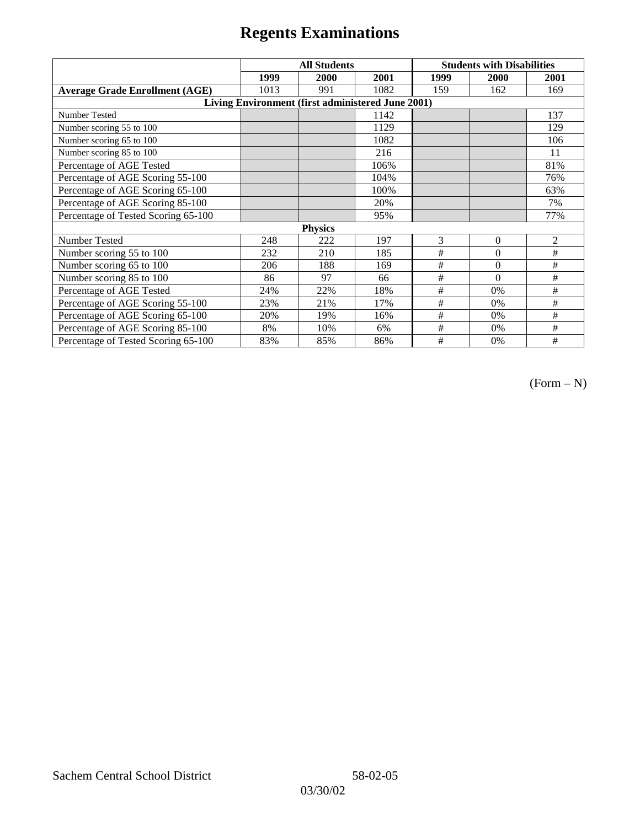|                                                   | <b>All Students</b> |      |      | <b>Students with Disabilities</b> |          |                |  |  |
|---------------------------------------------------|---------------------|------|------|-----------------------------------|----------|----------------|--|--|
|                                                   | 1999                | 2000 | 2001 | 1999                              | 2000     | 2001           |  |  |
| <b>Average Grade Enrollment (AGE)</b>             | 1013                | 991  | 1082 | 159                               | 162      | 169            |  |  |
| Living Environment (first administered June 2001) |                     |      |      |                                   |          |                |  |  |
| <b>Number Tested</b>                              |                     |      | 1142 |                                   |          | 137            |  |  |
| Number scoring 55 to 100                          |                     |      | 1129 |                                   |          | 129            |  |  |
| Number scoring 65 to 100                          |                     |      | 1082 |                                   |          | 106            |  |  |
| Number scoring 85 to 100                          |                     |      | 216  |                                   |          | 11             |  |  |
| Percentage of AGE Tested                          |                     |      | 106% |                                   |          | 81%            |  |  |
| Percentage of AGE Scoring 55-100                  |                     |      | 104% |                                   |          | 76%            |  |  |
| Percentage of AGE Scoring 65-100                  |                     |      | 100% |                                   |          | 63%            |  |  |
| Percentage of AGE Scoring 85-100                  |                     |      | 20%  |                                   |          | 7%             |  |  |
| Percentage of Tested Scoring 65-100               |                     |      | 95%  |                                   |          | 77%            |  |  |
| <b>Physics</b>                                    |                     |      |      |                                   |          |                |  |  |
| Number Tested                                     | 248                 | 222  | 197  | 3                                 | $\theta$ | $\overline{2}$ |  |  |
| Number scoring 55 to 100                          | 232                 | 210  | 185  | #                                 | $\theta$ | #              |  |  |
| Number scoring 65 to 100                          | 206                 | 188  | 169  | #                                 | $\theta$ | #              |  |  |
| Number scoring 85 to 100                          | 86                  | 97   | 66   | #                                 | $\Omega$ | #              |  |  |
| Percentage of AGE Tested                          | 24%                 | 22%  | 18%  | #                                 | 0%       | #              |  |  |
| Percentage of AGE Scoring 55-100                  | 23%                 | 21%  | 17%  | $\#$                              | 0%       | #              |  |  |
| Percentage of AGE Scoring 65-100                  | 20%                 | 19%  | 16%  | #                                 | 0%       | #              |  |  |
| Percentage of AGE Scoring 85-100                  | 8%                  | 10%  | 6%   | #                                 | 0%       | #              |  |  |
| Percentage of Tested Scoring 65-100               | 83%                 | 85%  | 86%  | #                                 | 0%       | #              |  |  |

 $(Form - N)$